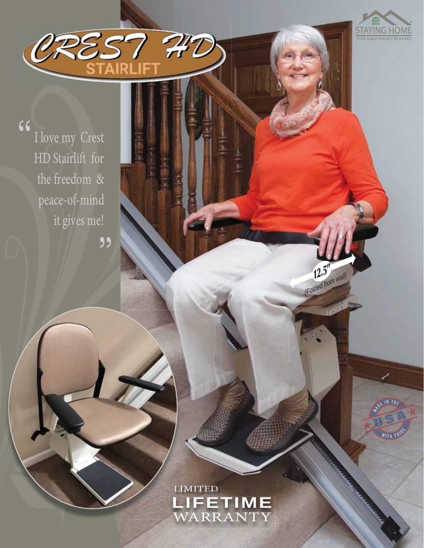

WITH P

 $12.5''$ (Folded from wall)

 $66$ I love my Crest HD Stairlift for the freedom  $\,\&\,$ peace-of-mind it gives me!

"

OREST 747

LIMITED LIFETIME<sup>1</sup><br>WARRANTY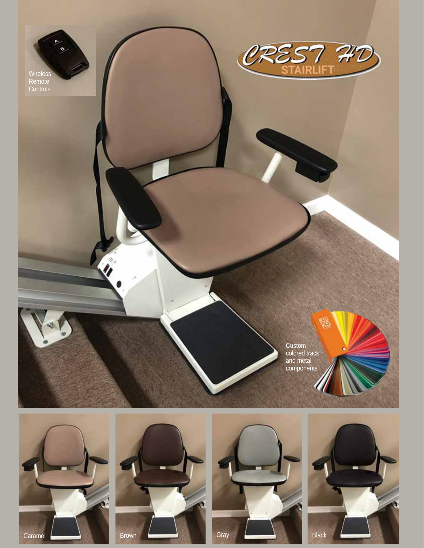







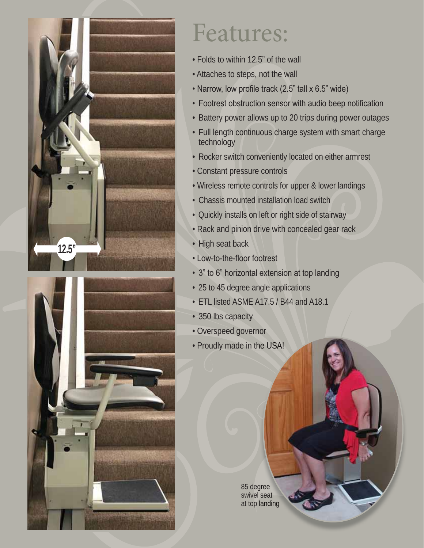



## Features:

- Folds to within 12.5" of the wall
- Attaches to steps, not the wall
- Narrow, low profile track (2.5" tall x 6.5" wide)
- Footrest obstruction sensor with audio beep notification
- Battery power allows up to 20 trips during power outages
- Full length continuous charge system with smart charge technology
- Rocker switch conveniently located on either armrest
- Constant pressure controls
- Wireless remote controls for upper & lower landings
- Chassis mounted installation load switch
- Quickly installs on left or right side of stairway
- Rack and pinion drive with concealed gear rack
- High seat back
- Low-to-the-floor footrest
- 3" to 6" horizontal extension at top landing
- 25 to 45 degree angle applications
- ETL listed ASME A17.5 / B44 and A18.1
- 350 lbs capacity
- Overspeed governor
- Proudly made in the USA!

85 degree 85 degree<br>swivel seat at top landing